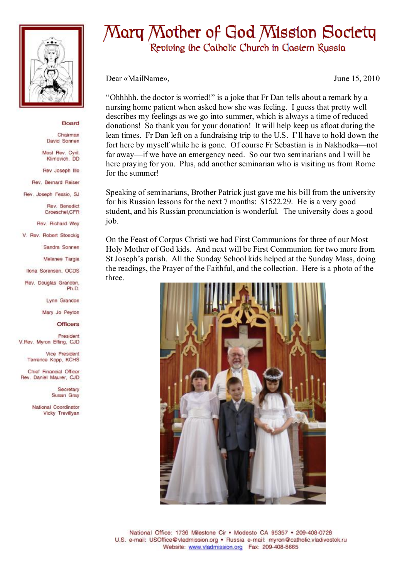

## Board

Chairman David Sonnen

Most Rev. Cyril. Klimovich, DD

Rev Joseph Illo

Rev. Bernard Reiser

Rev. Joseph Fessio, SJ

Rev. Benedict Groeschel, CFR

Rev. Richard Wey

V. Rev. Robert Stoeckig

Sandra Sonnen

Melanee Targia

Ilona Sorensen, OCDS

Rev. Douglas Grandon, Ph<sub>D</sub>

Lynn Grandon

Mary Jo Peyton

**Officers** 

President V.Rev. Myron Effing, CJD

> Vice President Terrence Kopp, KCHS

Chief Financial Officer Rev. Daniel Maurer, CJD

> Secretary Susan Gray

National Coordinator Vicky Trevillyan

## Mary Mother of God Mission Society Reviving the Catholic Church in Castern Russia

Dear «MailName»,

June 15, 2010

"Ohhhhh, the doctor is worried!" is a joke that Fr Dan tells about a remark by a nursing home patient when asked how she was feeling. I guess that pretty well describes my feelings as we go into summer, which is always a time of reduced donations! So thank you for your donation! It will help keep us afloat during the lean times. Fr Dan left on a fundraising trip to the U.S. I'll have to hold down the fort here by myself while he is gone. Of course Fr Sebastian is in Nakhodka—not far away—if we have an emergency need. So our two seminarians and I will be here praying for you. Plus, add another seminarian who is visiting us from Rome for the summer!

Speaking of seminarians. Brother Patrick just gave me his bill from the university for his Russian lessons for the next 7 months: \$1522.29. He is a very good student, and his Russian pronunciation is wonderful. The university does a good job.

On the Feast of Corpus Christi we had First Communions for three of our Most Holy Mother of God kids. And next will be First Communion for two more from St Joseph's parish. All the Sunday School kids helped at the Sunday Mass, doing the readings, the Prayer of the Faithful, and the collection. Here is a photo of the three.



National Office: 1736 Milestone Cir . Modesto CA 95357 . 209-408-0728 U.S. e-mail: USOffice@vladmission.org · Russia e-mail: myron@catholic.vladivostok.ru Website: www.vladmission.org Fax: 209-408-8665